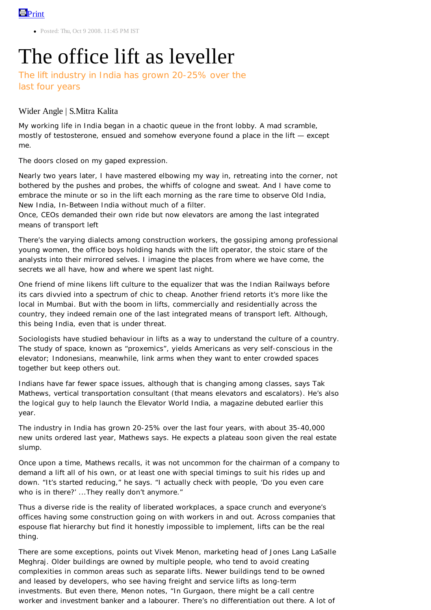• Posted: Thu, Oct 9 2008, 11:45 PM IST

## The office lift as leveller

The lift industry in India has grown 20-25% over the last four years

## Wider Angle | S.Mitra Kalita

My working life in India began in a chaotic queue in the front lobby. A mad scramble, mostly of testosterone, ensued and somehow everyone found a place in the lift — except me.

The doors closed on my gaped expression.

Nearly two years later, I have mastered elbowing my way in, retreating into the corner, not bothered by the pushes and probes, the whiffs of cologne and sweat. And I have come to embrace the minute or so in the lift each morning as the rare time to observe Old India, New India, In-Between India without much of a filter.

Once, CEOs demanded their own ride but now elevators are among the last integrated means of transport left

There's the varying dialects among construction workers, the gossiping among professional young women, the office boys holding hands with the lift operator, the stoic stare of the analysts into their mirrored selves. I imagine the places from where we have come, the secrets we all have, how and where we spent last night.

One friend of mine likens lift culture to the equalizer that was the Indian Railways before its cars divvied into a spectrum of chic to cheap. Another friend retorts it's more like the local in Mumbai. But with the boom in lifts, commercially and residentially across the country, they indeed remain one of the last integrated means of transport left. Although, this being India, even that is under threat.

Sociologists have studied behaviour in lifts as a way to understand the culture of a country. The study of space, known as "proxemics", yields Americans as very self-conscious in the elevator; Indonesians, meanwhile, link arms when they want to enter crowded spaces together but keep others out.

Indians have far fewer space issues, although that is changing among classes, says Tak Mathews, vertical transportation consultant (that means elevators and escalators). He's also the logical guy to help launch the *Elevator World India*, a magazine debuted earlier this year.

The industry in India has grown 20-25% over the last four years, with about 35-40,000 new units ordered last year, Mathews says. He expects a plateau soon given the real estate slump.

Once upon a time, Mathews recalls, it was not uncommon for the chairman of a company to demand a lift all of his own, or at least one with special timings to suit his rides up and down. "It's started reducing," he says. "I actually check with people, 'Do you even care who is in there?' ...They really don't anymore."

Thus a diverse ride is the reality of liberated workplaces, a space crunch and everyone's offices having some construction going on with workers in and out. Across companies that espouse flat hierarchy but find it honestly impossible to implement, lifts can be the real thing.

There are some exceptions, points out Vivek Menon, marketing head of Jones Lang LaSalle Meghraj. Older buildings are owned by multiple people, who tend to avoid creating complexities in common areas such as separate lifts. Newer buildings tend to be owned and leased by developers, who see having freight and service lifts as long-term investments. But even there, Menon notes, "In Gurgaon, there might be a call centre worker and investment banker and a labourer. There's no differentiation out there. A lot of